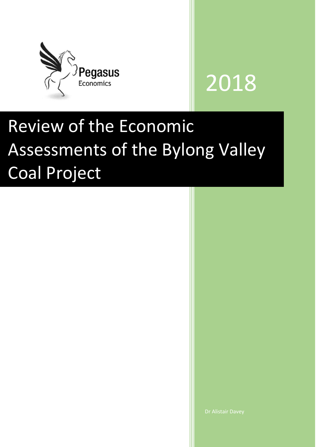

# 2018

# Review of the Economic Assessments of the Bylong Valley Coal Project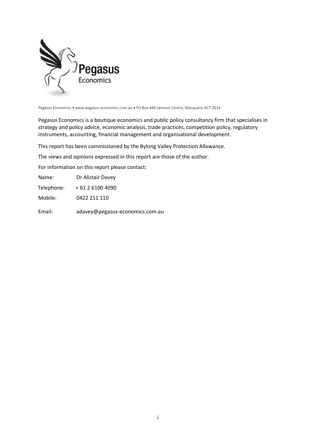

Pegasus Economics • www.pegasus-economics.com.au • PO Box 449 Jamison Centre, Macquarie ACT 2614

Pegasus Economics is a boutique economics and public policy consultancy firm that specialises in strategy and policy advice, economic analysis, trade practices, competition policy, regulatory instruments, accounting, financial management and organisational development.

This report has been commissioned by the Bylong Valley Protection Allowance.

The views and opinions expressed in this report are those of the author.

For information on this report please contact:

| Name:      | Dr Alistair Davey |
|------------|-------------------|
| Telephone: | + 61 2 6100 4090  |
| Mobile:    | 0422 211 110      |

Email: adavey@pegasus-economics.com.au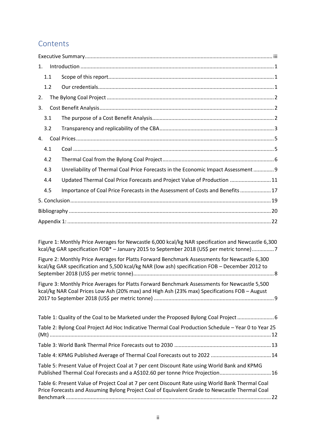## **Contents**

| 1.  |                                                                                    |
|-----|------------------------------------------------------------------------------------|
| 1.1 |                                                                                    |
| 1.2 |                                                                                    |
| 2.  |                                                                                    |
| 3.  |                                                                                    |
| 3.1 |                                                                                    |
| 3.2 |                                                                                    |
| 4.  |                                                                                    |
| 4.1 |                                                                                    |
| 4.2 |                                                                                    |
| 4.3 | Unreliability of Thermal Coal Price Forecasts in the Economic Impact Assessment  9 |
| 4.4 | Updated Thermal Coal Price Forecasts and Project Value of Production  11           |
| 4.5 | Importance of Coal Price Forecasts in the Assessment of Costs and Benefits  17     |
|     |                                                                                    |
|     |                                                                                    |
|     |                                                                                    |

[Figure 1: Monthly Price Averages for Newcastle 6,000 kcal/kg NAR specification and Newcastle 6,300](#page-10-0)  kcal/kg GAR specification FOB\* – [January 2015 to September 2018 \(US\\$ per metric tonne\)...............7](#page-10-0) Figure [2: Monthly Price Averages for Platts Forward Benchmark Assessments for Newcastle 6,300](#page-11-0) 

[kcal/kg GAR specification and 5,500 kcal/kg NAR \(low ash\) specification FOB](#page-11-0) – December 2012 to [September 2018 \(US\\$ per metric tonne\)................................................................................................8](#page-11-0)

[Figure 3: Monthly Price Averages for Platts Forward Benchmark Assessments for Newcastle 5,500](#page-12-1)  [kcal/kg NAR Coal Prices Low Ash \(20% max\) and High Ash \(23% max\) Specifications FOB](#page-12-1) – August 2017 to September 2018 (US\$ per metric tonne) [..................................................................................9](#page-12-1)

| Table 1: Quality of the Coal to be Marketed under the Proposed Bylong Coal Project                                                                                                                 |  |
|----------------------------------------------------------------------------------------------------------------------------------------------------------------------------------------------------|--|
| Table 2: Bylong Coal Project Ad Hoc Indicative Thermal Coal Production Schedule - Year 0 to Year 25                                                                                                |  |
|                                                                                                                                                                                                    |  |
|                                                                                                                                                                                                    |  |
| Table 5: Present Value of Project Coal at 7 per cent Discount Rate using World Bank and KPMG<br>Published Thermal Coal Forecasts and a A\$102.60 per tonne Price Projection 16                     |  |
| Table 6: Present Value of Project Coal at 7 per cent Discount Rate using World Bank Thermal Coal<br>Price Forecasts and Assuming Bylong Project Coal of Equivalent Grade to Newcastle Thermal Coal |  |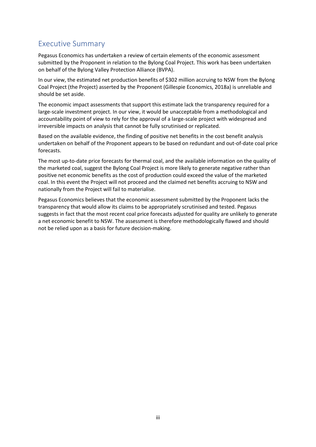# <span id="page-3-0"></span>Executive Summary

Pegasus Economics has undertaken a review of certain elements of the economic assessment submitted by the Proponent in relation to the Bylong Coal Project. This work has been undertaken on behalf of the Bylong Valley Protection Alliance (BVPA).

In our view, the estimated net production benefits of \$302 million accruing to NSW from the Bylong Coal Project (the Project) asserted by the Proponent (Gillespie Economics, 2018a) is unreliable and should be set aside.

The economic impact assessments that support this estimate lack the transparency required for a large-scale investment project. In our view, it would be unacceptable from a methodological and accountability point of view to rely for the approval of a large-scale project with widespread and irreversible impacts on analysis that cannot be fully scrutinised or replicated.

Based on the available evidence, the finding of positive net benefits in the cost benefit analysis undertaken on behalf of the Proponent appears to be based on redundant and out-of-date coal price forecasts.

The most up-to-date price forecasts for thermal coal, and the available information on the quality of the marketed coal, suggest the Bylong Coal Project is more likely to generate negative rather than positive net economic benefits as the cost of production could exceed the value of the marketed coal. In this event the Project will not proceed and the claimed net benefits accruing to NSW and nationally from the Project will fail to materialise.

Pegasus Economics believes that the economic assessment submitted by the Proponent lacks the transparency that would allow its claims to be appropriately scrutinised and tested. Pegasus suggests in fact that the most recent coal price forecasts adjusted for quality are unlikely to generate a net economic benefit to NSW. The assessment is therefore methodologically flawed and should not be relied upon as a basis for future decision-making.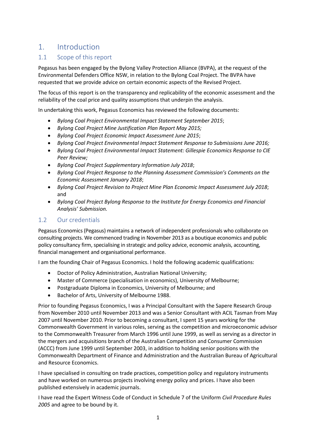# <span id="page-4-0"></span>1. Introduction

#### <span id="page-4-1"></span>1.1 Scope of this report

Pegasus has been engaged by the Bylong Valley Protection Alliance (BVPA), at the request of the Environmental Defenders Office NSW, in relation to the Bylong Coal Project. The BVPA have requested that we provide advice on certain economic aspects of the Revised Project.

The focus of this report is on the transparency and replicability of the economic assessment and the reliability of the coal price and quality assumptions that underpin the analysis.

In undertaking this work, Pegasus Economics has reviewed the following documents:

- *Bylong Coal Project Environmental Impact Statement September 2015*;
- *Bylong Coal Project Mine Justification Plan Report May 2015;*
- *Bylong Coal Project Economic Impact Assessment June 2015*;
- *Bylong Coal Project Environmental Impact Statement Response to Submissions June 2016;*
- *Bylong Coal Project Environmental Impact Statement: Gillespie Economics Response to CIE Peer Review;*
- *Bylong Coal Project Supplementary Information July 2018*;
- *Bylong Coal Project Response to the Planning Assessment Commission's Comments on the Economic Assessment January 2018*;
- *Bylong Coal Project Revision to Project Mine Plan Economic Impact Assessment July 2018*; and
- *Bylong Coal Project Bylong Response to the Institute for Energy Economics and Financial Analysis' Submission.*

#### <span id="page-4-2"></span>1.2 Our credentials

Pegasus Economics (Pegasus) maintains a network of independent professionals who collaborate on consulting projects. We commenced trading in November 2013 as a boutique economics and public policy consultancy firm, specialising in strategic and policy advice, economic analysis, accounting, financial management and organisational performance.

I am the founding Chair of Pegasus Economics. I hold the following academic qualifications:

- Doctor of Policy Administration, Australian National University;
- Master of Commerce (specialisation in economics), University of Melbourne;
- Postgraduate Diploma in Economics, University of Melbourne; and
- Bachelor of Arts, University of Melbourne 1988.

Prior to founding Pegasus Economics, I was a Principal Consultant with the Sapere Research Group from November 2010 until November 2013 and was a Senior Consultant with ACIL Tasman from May 2007 until November 2010. Prior to becoming a consultant, I spent 15 years working for the Commonwealth Government in various roles, serving as the competition and microeconomic advisor to the Commonwealth Treasurer from March 1996 until June 1999, as well as serving as a director in the mergers and acquisitions branch of the Australian Competition and Consumer Commission (ACCC) from June 1999 until September 2003, in addition to holding senior positions with the Commonwealth Department of Finance and Administration and the Australian Bureau of Agricultural and Resource Economics.

I have specialised in consulting on trade practices, competition policy and regulatory instruments and have worked on numerous projects involving energy policy and prices. I have also been published extensively in academic journals.

I have read the Expert Witness Code of Conduct in Schedule 7 of the Uniform *Civil Procedure Rules 2005* and agree to be bound by it.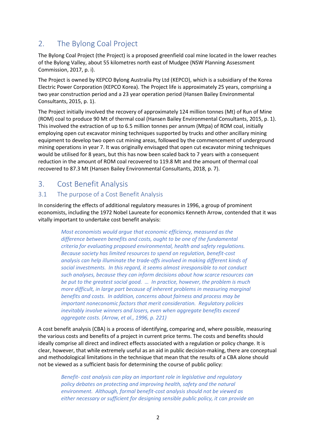# <span id="page-5-0"></span>2. The Bylong Coal Project

The Bylong Coal Project (the Project) is a proposed greenfield coal mine located in the lower reaches of the Bylong Valley, about 55 kilometres north east of Mudgee (NSW Planning Assessment Commission, 2017, p. i).

The Project is owned by KEPCO Bylong Australia Pty Ltd (KEPCO), which is a subsidiary of the Korea Electric Power Corporation (KEPCO Korea). The Project life is approximately 25 years, comprising a two year construction period and a 23 year operation period (Hansen Bailey Environmental Consultants, 2015, p. 1).

The Project initially involved the recovery of approximately 124 million tonnes (Mt) of Run of Mine (ROM) coal to produce 90 Mt of thermal coal (Hansen Bailey Environmental Consultants, 2015, p. 1). This involved the extraction of up to 6.5 million tonnes per annum (Mtpa) of ROM coal, initially employing open cut excavator mining techniques supported by trucks and other ancillary mining equipment to develop two open cut mining areas, followed by the commencement of underground mining operations in year 7. It was originally envisaged that open cut excavator mining techniques would be utilised for 8 years, but this has now been scaled back to 7 years with a consequent reduction in the amount of ROM coal recovered to 119.8 Mt and the amount of thermal coal recovered to 87.3 Mt (Hansen Bailey Environmental Consultants, 2018, p. 7).

# <span id="page-5-1"></span>3. Cost Benefit Analysis

#### <span id="page-5-2"></span>3.1 The purpose of a Cost Benefit Analysis

In considering the effects of additional regulatory measures in 1996, a group of prominent economists, including the 1972 Nobel Laureate for economics Kenneth Arrow, contended that it was vitally important to undertake cost benefit analysis:

*Most economists would argue that economic efficiency, measured as the difference between benefits and costs, ought to be one of the fundamental criteria for evaluating proposed environmental, health and safety regulations. Because society has limited resources to spend on regulation, benefit-cost analysis can help illuminate the trade-offs involved in making different kinds of social investments. In this regard, it seems almost irresponsible to not conduct such analyses, because they can inform decisions about how scarce resources can be put to the greatest social good. … In practice, however, the problem is much more difficult, in large part because of inherent problems in measuring marginal benefits and costs. In addition, concerns about fairness and process may be important noneconomic factors that merit consideration. Regulatory policies inevitably involve winners and losers, even when aggregate benefits exceed aggregate costs. (Arrow, et al., 1996, p. 221)*

A cost benefit analysis (CBA) is a process of identifying, comparing and, where possible, measuring the various costs and benefits of a project in current price terms. The costs and benefits should ideally comprise all direct and indirect effects associated with a regulation or policy change. It is clear, however, that while extremely useful as an aid in public decision-making, there are conceptual and methodological limitations in the technique that mean that the results of a CBA alone should not be viewed as a sufficient basis for determining the course of public policy:

*Benefit- cost analysis can play an important role in legislative and regulatory policy debates on protecting and improving health, safety and the natural environment. Although, formal benefit-cost analysis should not be viewed as either necessary or sufficient for designing sensible public policy, it can provide an*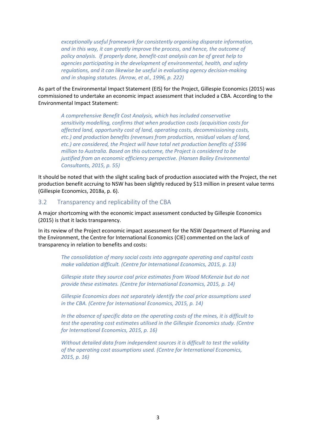*exceptionally useful framework for consistently organising disparate information, and in this way, it can greatly improve the process, and hence, the outcome of policy analysis. If properly done, benefit-cost analysis can be of great help to agencies participating in the development of environmental, health, and safety regulations, and it can likewise be useful in evaluating agency decision-making and in shaping statutes. (Arrow, et al., 1996, p. 222)*

As part of the Environmental Impact Statement (EIS) for the Project, Gillespie Economics (2015) was commissioned to undertake an economic impact assessment that included a CBA. According to the Environmental Impact Statement:

*A comprehensive Benefit Cost Analysis, which has included conservative sensitivity modelling, confirms that when production costs (acquisition costs for affected land, opportunity cost of land, operating costs, decommissioning costs, etc.) and production benefits (revenues from production, residual values of land, etc.) are considered, the Project will have total net production benefits of \$596 million to Australia. Based on this outcome, the Project is considered to be justified from an economic efficiency perspective. (Hansen Bailey Environmental Consultants, 2015, p. 55)*

It should be noted that with the slight scaling back of production associated with the Project, the net production benefit accruing to NSW has been slightly reduced by \$13 million in present value terms (Gillespie Economics, 2018a, p. 6).

#### <span id="page-6-0"></span>3.2 Transparency and replicability of the CBA

A major shortcoming with the economic impact assessment conducted by Gillespie Economics (2015) is that it lacks transparency.

In its review of the Project economic impact assessment for the NSW Department of Planning and the Environment, the Centre for International Economics (CIE) commented on the lack of transparency in relation to benefits and costs:

*The consolidation of many social costs into aggregate operating and capital costs make validation difficult. (Centre for International Economics, 2015, p. 13)*

*Gillespie state they source coal price estimates from Wood McKenzie but do not provide these estimates. (Centre for International Economics, 2015, p. 14)*

*Gillespie Economics does not separately identify the coal price assumptions used in the CBA. (Centre for International Economics, 2015, p. 14)*

*In the absence of specific data on the operating costs of the mines, it is difficult to test the operating cost estimates utilised in the Gillespie Economics study. (Centre for International Economics, 2015, p. 16)*

*Without detailed data from independent sources it is difficult to test the validity of the operating cost assumptions used. (Centre for International Economics, 2015, p. 16)*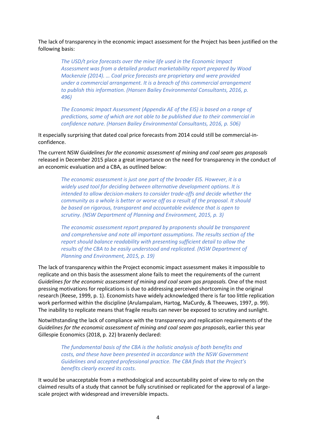The lack of transparency in the economic impact assessment for the Project has been justified on the following basis:

*The USD/t price forecasts over the mine life used in the Economic Impact Assessment was from a detailed product marketability report prepared by Wood Mackenzie (2014). … Coal price forecasts are proprietary and were provided under a commercial arrangement. It is a breach of this commercial arrangement to publish this information. (Hansen Bailey Environmental Consultants, 2016, p. 496)*

*The Economic Impact Assessment (Appendix AE of the EIS) is based on a range of predictions, some of which are not able to be published due to their commercial in confidence nature. (Hansen Bailey Environmental Consultants, 2016, p. 506)*

It especially surprising that dated coal price forecasts from 2014 could still be commercial-inconfidence.

The current NSW *Guidelines for the economic assessment of mining and coal seam gas proposals* released in December 2015 place a great importance on the need for transparency in the conduct of an economic evaluation and a CBA, as outlined below:

*The economic assessment is just one part of the broader EIS. However, it is a widely used tool for deciding between alternative development options. It is intended to allow decision-makers to consider trade-offs and decide whether the community as a whole is better or worse off as a result of the proposal. It should be based on rigorous, transparent and accountable evidence that is open to scrutiny. (NSW Department of Planning and Environment, 2015, p. 3)*

*The economic assessment report prepared by proponents should be transparent and comprehensive and note all important assumptions. The results section of the report should balance readability with presenting sufficient detail to allow the results of the CBA to be easily understood and replicated. (NSW Department of Planning and Environment, 2015, p. 19)*

The lack of transparency within the Project economic impact assessment makes it impossible to replicate and on this basis the assessment alone fails to meet the requirements of the current *Guidelines for the economic assessment of mining and coal seam gas proposals.* One of the most pressing motivations for replications is due to addressing perceived shortcoming in the original research (Reese, 1999, p. 1). Economists have widely acknowledged there is far too little replication work performed within the discipline (Arulampalam, Hartog, MaCurdy, & Theeuwes, 1997, p. 99). The inability to replicate means that fragile results can never be exposed to scrutiny and sunlight.

Notwithstanding the lack of compliance with the transparency and replication requirements of the *Guidelines for the economic assessment of mining and coal seam gas proposals*, earlier this year Gillespie Economics (2018, p. 22) brazenly declared:

*The fundamental basis of the CBA is the holistic analysis of both benefits and costs, and these have been presented in accordance with the NSW Government Guidelines and accepted professional practice. The CBA finds that the Project's benefits clearly exceed its costs.*

It would be unacceptable from a methodological and accountability point of view to rely on the claimed results of a study that cannot be fully scrutinised or replicated for the approval of a largescale project with widespread and irreversible impacts.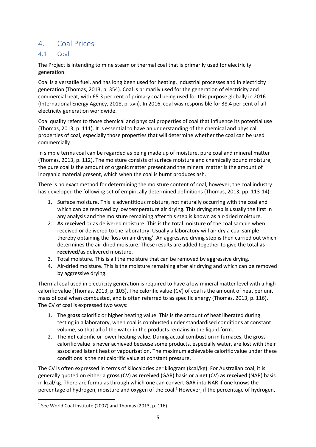### <span id="page-8-0"></span>4. Coal Prices

#### <span id="page-8-1"></span>4.1 Coal

The Project is intending to mine steam or thermal coal that is primarily used for electricity generation.

Coal is a versatile fuel, and has long been used for heating, industrial processes and in electricity generation (Thomas, 2013, p. 354). Coal is primarily used for the generation of electricity and commercial heat, with 65.3 per cent of primary coal being used for this purpose globally in 2016 (International Energy Agency, 2018, p. xvii). In 2016, coal was responsible for 38.4 per cent of all electricity generation worldwide.

Coal quality refers to those chemical and physical properties of coal that influence its potential use (Thomas, 2013, p. 111). It is essential to have an understanding of the chemical and physical properties of coal, especially those properties that will determine whether the coal can be used commercially.

In simple terms coal can be regarded as being made up of moisture, pure coal and mineral matter (Thomas, 2013, p. 112). The moisture consists of surface moisture and chemically bound moisture, the pure coal is the amount of organic matter present and the mineral matter is the amount of inorganic material present, which when the coal is burnt produces ash.

There is no exact method for determining the moisture content of coal, however, the coal industry has developed the following set of empirically determined definitions (Thomas, 2013, pp. 113-14):

- 1. Surface moisture. This is adventitious moisture, not naturally occurring with the coal and which can be removed by low temperature air drying. This drying step is usually the first in any analysis and the moisture remaining after this step is known as air-dried moisture.
- 2. **As received** or as delivered moisture. This is the total moisture of the coal sample when received or delivered to the laboratory. Usually a laboratory will air dry a coal sample thereby obtaining the 'loss on air drying'. An aggressive drying step is then carried out which determines the air-dried moisture. These results are added together to give the total **as received**/as delivered moisture.
- 3. Total moisture. This is all the moisture that can be removed by aggressive drying.
- 4. Air-dried moisture. This is the moisture remaining after air drying and which can be removed by aggressive drying.

Thermal coal used in electricity generation is required to have a low mineral matter level with a high calorific value (Thomas, 2013, p. 103). The calorific value (CV) of coal is the amount of heat per unit mass of coal when combusted, and is often referred to as specific energy (Thomas, 2013, p. 116). The CV of coal is expressed two ways:

- 1. The **gross** calorific or higher heating value. This is the amount of heat liberated during testing in a laboratory, when coal is combusted under standardised conditions at constant volume, so that all of the water in the products remains in the liquid form.
- 2. The **net** calorific or lower heating value. During actual combustion in furnaces, the gross calorific value is never achieved because some products, especially water, are lost with their associated latent heat of vapourisation. The maximum achievable calorific value under these conditions is the net calorific value at constant pressure.

The CV is often expressed in terms of kilocalories per kilogram (kcal/kg). For Australian coal, it is generally quoted on either a **gross** (CV) **as received** (GAR) basis or a **net** (CV) **as received** (NAR) basis in kcal/kg. There are formulas through which one can convert GAR into NAR if one knows the percentage of hydrogen, moisture and oxygen of the coal.<sup>1</sup> However, if the percentage of hydrogen,

**.** 

<sup>&</sup>lt;sup>1</sup> See World Coal Institute (2007) and Thomas (2013, p. 116).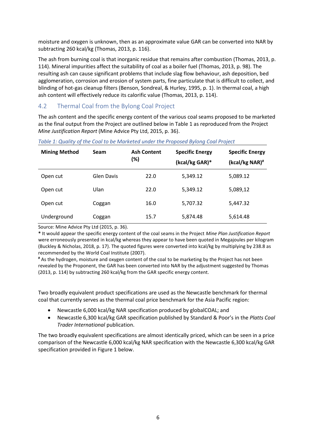moisture and oxygen is unknown, then as an approximate value GAR can be converted into NAR by subtracting 260 kcal/kg (Thomas, 2013, p. 116).

The ash from burning coal is that inorganic residue that remains after combustion (Thomas, 2013, p. 114). Mineral impurities affect the suitability of coal as a boiler fuel (Thomas, 2013, p. 98). The resulting ash can cause significant problems that include slag flow behaviour, ash deposition, bed agglomeration, corrosion and erosion of system parts, fine particulate that is difficult to collect, and blinding of hot-gas cleanup filters (Benson, Sondreal, & Hurley, 1995, p. 1). In thermal coal, a high ash content will effectively reduce its calorific value (Thomas, 2013, p. 114).

#### <span id="page-9-0"></span>4.2 Thermal Coal from the Bylong Coal Project

The ash content and the specific energy content of the various coal seams proposed to be marketed as the final output from the Project are outlined below in Table 1 as reproduced from the Project *Mine Justification Report* (Mine Advice Pty Ltd, 2015, p. 36).

| <b>Mining Method</b> | <b>Seam</b> | <b>Ash Content</b><br>(%) | <b>Specific Energy</b><br>(kcal/kg GAR)* | <b>Specific Energy</b><br>(kcal/kg NAR)# |
|----------------------|-------------|---------------------------|------------------------------------------|------------------------------------------|
| Open cut             | Glen Davis  | 22.0                      | 5,349.12                                 | 5,089.12                                 |
| Open cut             | Ulan        | 22.0                      | 5,349.12                                 | 5,089,12                                 |
| Open cut             | Coggan      | 16.0                      | 5,707.32                                 | 5,447.32                                 |
| Underground          | Coggan      | 15.7                      | 5,874.48                                 | 5,614.48                                 |

#### <span id="page-9-1"></span>*Table 1: Quality of the Coal to be Marketed under the Proposed Bylong Coal Project*

Source: Mine Advice Pty Ltd (2015, p. 36).

**\*** It would appear the specific energy content of the coal seams in the Project *Mine Plan Justification Report* were erroneously presented in kcal/kg whereas they appear to have been quoted in Megajoules per kilogram (Buckley & Nicholas, 2018, p. 17). The quoted figures were converted into kcal/kg by multiplying by 238.8 as recommended by the World Coal Institute (2007).

**#** As the hydrogen, moisture and oxygen content of the coal to be marketing by the Project has not been revealed by the Proponent, the GAR has been converted into NAR by the adjustment suggested by Thomas (2013, p. 114) by subtracting 260 kcal/kg from the GAR specific energy content.

Two broadly equivalent product specifications are used as the Newcastle benchmark for thermal coal that currently serves as the thermal coal price benchmark for the Asia Pacific region:

- Newcastle 6,000 kcal/kg NAR specification produced by globalCOAL; and
- Newcastle 6,300 kcal/kg GAR specification published by Standard & Poor's in the *Platts Coal Trader International* publication.

The two broadly equivalent specifications are almost identically priced, which can be seen in a price comparison of the Newcastle 6,000 kcal/kg NAR specification with the Newcastle 6,300 kcal/kg GAR specification provided in Figure 1 below.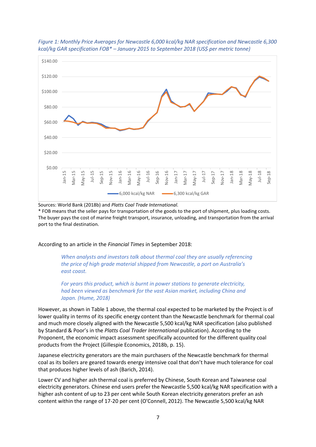

<span id="page-10-0"></span>*Figure 1: Monthly Price Averages for Newcastle 6,000 kcal/kg NAR specification and Newcastle 6,300 kcal/kg GAR specification FOB\* – January 2015 to September 2018 (US\$ per metric tonne)*

Sources: World Bank (2018b) and *Platts Coal Trade International.*

\* FOB means that the seller pays for transportation of the goods to the port of shipment, plus loading costs. The buyer pays the cost of [marine freight](https://en.wikipedia.org/wiki/Cargo) transport, [insurance,](https://en.wikipedia.org/wiki/Insurance) unloading, and transportation from the arrival port to the final destination.

According to an article in the *Financial Times* in September 2018:

*When analysts and investors talk about thermal coal they are usually referencing the price of high grade material shipped from Newcastle, a port on Australia's east coast.* 

*For years this product, which is burnt in power stations to generate electricity, had been viewed as benchmark for the vast Asian market, including China and Japan. (Hume, 2018)*

However, as shown in Table 1 above, the thermal coal expected to be marketed by the Project is of lower quality in terms of its specific energy content than the Newcastle benchmark for thermal coal and much more closely aligned with the Newcastle 5,500 kcal/kg NAR specification (also published by Standard & Poor's in the *Platts Coal Trader International* publication). According to the Proponent, the economic impact assessment specifically accounted for the different quality coal products from the Project (Gillespie Economics, 2018b, p. 15).

Japanese electricity generators are the main purchasers of the Newcastle benchmark for thermal coal as its boilers are geared towards energy intensive coal that don't have much tolerance for coal that produces higher levels of ash (Barich, 2014).

Lower CV and higher ash thermal coal is preferred by Chinese, South Korean and Taiwanese coal electricity generators. Chinese end users prefer the Newcastle 5,500 kcal/kg NAR specification with a higher ash content of up to 23 per cent while South Korean electricity generators prefer an ash content within the range of 17-20 per cent (O'Connell, 2012). The Newcastle 5,500 kcal/kg NAR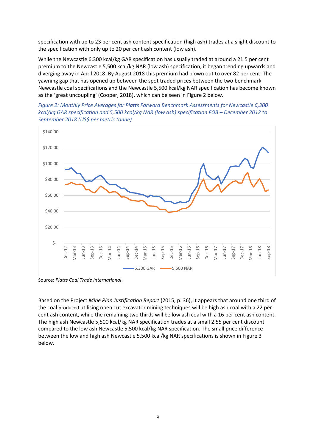specification with up to 23 per cent ash content specification (high ash) trades at a slight discount to the specification with only up to 20 per cent ash content (low ash).

While the Newcastle 6,300 kcal/kg GAR specification has usually traded at around a 21.5 per cent premium to the Newcastle 5,500 kcal/kg NAR (low ash) specification, it began trending upwards and diverging away in April 2018. By August 2018 this premium had blown out to over 82 per cent. The yawning gap that has opened up between the spot traded prices between the two benchmark Newcastle coal specifications and the Newcastle 5,500 kcal/kg NAR specification has become known as the 'great uncoupling' (Cooper, 2018), which can be seen in Figure 2 below.

<span id="page-11-0"></span>



Source: *Platts Coal Trade International*.

Based on the Project *Mine Plan Justification Report* (2015, p. 36), it appears that around one third of the coal produced utilising open cut excavator mining techniques will be high ash coal with a 22 per cent ash content, while the remaining two thirds will be low ash coal with a 16 per cent ash content. The high ash Newcastle 5,500 kcal/kg NAR specification trades at a small 2.55 per cent discount compared to the low ash Newcastle 5,500 kcal/kg NAR specification. The small price difference between the low and high ash Newcastle 5,500 kcal/kg NAR specifications is shown in Figure 3 below.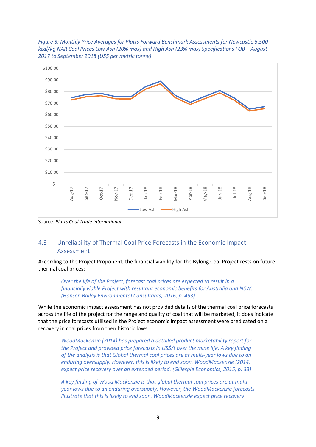

<span id="page-12-1"></span>*Figure 3: Monthly Price Averages for Platts Forward Benchmark Assessments for Newcastle 5,500 kcal/kg NAR Coal Prices Low Ash (20% max) and High Ash (23% max) Specifications FOB – August 2017 to September 2018 (US\$ per metric tonne)*

Source: *Platts Coal Trade International*.

#### <span id="page-12-0"></span>4.3 Unreliability of Thermal Coal Price Forecasts in the Economic Impact Assessment

According to the Project Proponent, the financial viability for the Bylong Coal Project rests on future thermal coal prices:

*Over the life of the Project, forecast coal prices are expected to result in a financially viable Project with resultant economic benefits for Australia and NSW. (Hansen Bailey Environmental Consultants, 2016, p. 493)*

While the economic impact assessment has not provided details of the thermal coal price forecasts across the life of the project for the range and quality of coal that will be marketed, it does indicate that the price forecasts utilised in the Project economic impact assessment were predicated on a recovery in coal prices from then historic lows:

*WoodMackenzie (2014) has prepared a detailed product marketability report for the Project and provided price forecasts in US\$/t over the mine life. A key finding of the analysis is that Global thermal coal prices are at multi-year lows due to an enduring oversupply. However, this is likely to end soon. WoodMackenzie (2014) expect price recovery over an extended period. (Gillespie Economics, 2015, p. 33)*

*A key finding of Wood Mackenzie is that global thermal coal prices are at multiyear lows due to an enduring oversupply. However, the WoodMackenzie forecasts illustrate that this is likely to end soon. WoodMackenzie expect price recovery*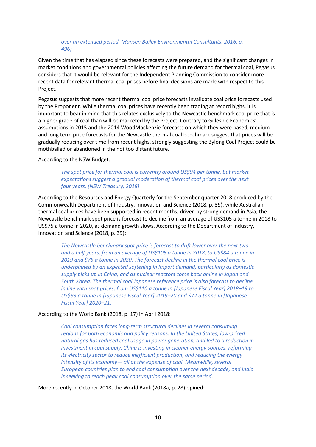#### *over an extended period. (Hansen Bailey Environmental Consultants, 2016, p. 496)*

Given the time that has elapsed since these forecasts were prepared, and the significant changes in market conditions and governmental policies affecting the future demand for thermal coal, Pegasus considers that it would be relevant for the Independent Planning Commission to consider more recent data for relevant thermal coal prises before final decisions are made with respect to this Project.

Pegasus suggests that more recent thermal coal price forecasts invalidate coal price forecasts used by the Proponent. While thermal coal prices have recently been trading at record highs, it is important to bear in mind that this relates exclusively to the Newcastle benchmark coal price that is a higher grade of coal than will be marketed by the Project. Contrary to Gillespie Economics' assumptions in 2015 and the 2014 WoodMackenzie forecasts on which they were based, medium and long term price forecasts for the Newcastle thermal coal benchmark suggest that prices will be gradually reducing over time from recent highs, strongly suggesting the Bylong Coal Project could be mothballed or abandoned in the not too distant future.

#### According to the NSW Budget:

#### *The spot price for thermal coal is currently around US\$94 per tonne, but market expectations suggest a gradual moderation of thermal coal prices over the next four years. (NSW Treasury, 2018)*

According to the Resources and Energy Quarterly for the September quarter 2018 produced by the Commonwealth Department of Industry, Innovation and Science (2018, p. 39), while Australian thermal coal prices have been supported in recent months, driven by strong demand in Asia, the Newcastle benchmark spot price is forecast to decline from an average of US\$105 a tonne in 2018 to US\$75 a tonne in 2020, as demand growth slows. According to the Department of Industry, Innovation and Science (2018, p. 39):

*The Newcastle benchmark spot price is forecast to drift lower over the next two and a half years, from an average of US\$105 a tonne in 2018, to US\$84 a tonne in 2019 and \$75 a tonne in 2020. The forecast decline in the thermal coal price is underpinned by an expected softening in import demand, particularly as domestic supply picks up in China, and as nuclear reactors come back online in Japan and South Korea. The thermal coal Japanese reference price is also forecast to decline in line with spot prices, from US\$110 a tonne in [Japanese Fiscal Year] 2018–19 to US\$83 a tonne in [Japanese Fiscal Year] 2019–20 and \$72 a tonne in [Japanese Fiscal Year] 2020–21.*

#### According to the World Bank (2018, p. 17) in April 2018:

*Coal consumption faces long-term structural declines in several consuming regions for both economic and policy reasons. In the United States, low-priced natural gas has reduced coal usage in power generation, and led to a reduction in investment in coal supply. China is investing in cleaner energy sources, reforming its electricity sector to reduce inefficient production, and reducing the energy intensity of its economy— all at the expense of coal. Meanwhile, several European countries plan to end coal consumption over the next decade, and India is seeking to reach peak coal consumption over the same period.*

More recently in October 2018, the World Bank (2018a, p. 28) opined: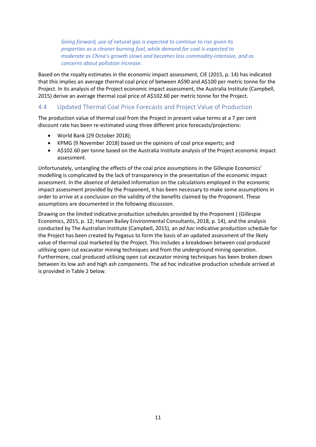*Going forward, use of natural gas is expected to continue to rise given its properties as a cleaner burning fuel, while demand for coal is expected to moderate as China's growth slows and becomes less commodity-intensive, and as concerns about pollution increase.*

Based on the royalty estimates in the economic impact assessment, CIE (2015, p. 14) has indicated that this implies an average thermal coal price of between A\$90 and A\$100 per metric tonne for the Project. In its analysis of the Project economic impact assessment, the Australia Institute (Campbell, 2015) derive an average thermal coal price of A\$102.60 per metric tonne for the Project.

#### <span id="page-14-0"></span>4.4 Updated Thermal Coal Price Forecasts and Project Value of Production

The production value of thermal coal from the Project in present value terms at a 7 per cent discount rate has been re-estimated using three different price forecasts/projections:

- World Bank (29 October 2018);
- KPMG (9 November 2018) based on the opinions of coal price experts; and
- A\$102.60 per tonne based on the Australia Institute analysis of the Project economic impact assessment.

Unfortunately, untangling the effects of the coal price assumptions in the Gillespie Economics' modelling is complicated by the lack of transparency in the presentation of the economic impact assessment. In the absence of detailed information on the calculations employed in the economic impact assessment provided by the Proponent, it has been necessary to make some assumptions in order to arrive at a conclusion on the validity of the benefits claimed by the Proponent. These assumptions are documented in the following discussion.

Drawing on the limited indicative production schedules provided by the Proponent ( (Gillespie Economics, 2015, p. 12; Hansen Bailey Environmental Consultants, 2018, p. 14), and the analysis conducted by The Australian Institute (Campbell, 2015), an *ad hoc* indicative production schedule for the Project has been created by Pegasus to form the basis of an updated assessment of the likely value of thermal coal marketed by the Project. This includes a breakdown between coal produced utilising open cut excavator mining techniques and from the underground mining operation. Furthermore, coal produced utilising open cut excavator mining techniques has been broken down between its low ash and high ash components. The ad hoc indicative production schedule arrived at is provided in Table 2 below.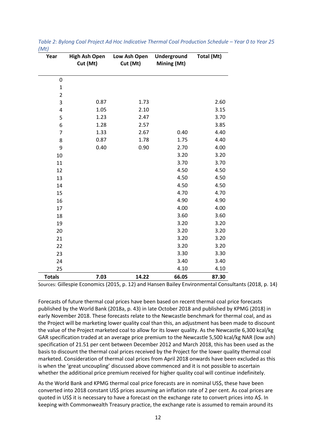| Year                    | <b>High Ash Open</b><br>Cut (Mt) | Low Ash Open<br>Cut (Mt) | Underground<br>Mining (Mt) | Total (Mt) |
|-------------------------|----------------------------------|--------------------------|----------------------------|------------|
| $\mathbf 0$             |                                  |                          |                            |            |
| $\mathbf{1}$            |                                  |                          |                            |            |
| $\overline{2}$          |                                  |                          |                            |            |
| 3                       | 0.87                             | 1.73                     |                            | 2.60       |
| $\overline{\mathbf{4}}$ | 1.05                             | 2.10                     |                            | 3.15       |
| 5                       | 1.23                             | 2.47                     |                            | 3.70       |
| 6                       | 1.28                             | 2.57                     |                            | 3.85       |
| $\overline{7}$          | 1.33                             | 2.67                     | 0.40                       | 4.40       |
| 8                       | 0.87                             | 1.78                     | 1.75                       | 4.40       |
| 9                       | 0.40                             | 0.90                     | 2.70                       | 4.00       |
| 10                      |                                  |                          | 3.20                       | 3.20       |
| 11                      |                                  |                          | 3.70                       | 3.70       |
| 12                      |                                  |                          | 4.50                       | 4.50       |
| 13                      |                                  |                          | 4.50                       | 4.50       |
| 14                      |                                  |                          | 4.50                       | 4.50       |
| 15                      |                                  |                          | 4.70                       | 4.70       |
| 16                      |                                  |                          | 4.90                       | 4.90       |
| 17                      |                                  |                          | 4.00                       | 4.00       |
| 18                      |                                  |                          | 3.60                       | 3.60       |
| 19                      |                                  |                          | 3.20                       | 3.20       |
| 20                      |                                  |                          | 3.20                       | 3.20       |
| 21                      |                                  |                          | 3.20                       | 3.20       |
| 22                      |                                  |                          | 3.20                       | 3.20       |
| 23                      |                                  |                          | 3.30                       | 3.30       |
| 24                      |                                  |                          | 3.40                       | 3.40       |
| 25                      |                                  |                          | 4.10                       | 4.10       |
| <b>Totals</b>           | 7.03                             | 14.22                    | 66.05                      | 87.30      |

<span id="page-15-0"></span>*Table 2: Bylong Coal Project Ad Hoc Indicative Thermal Coal Production Schedule – Year 0 to Year 25*   $(\Lambda A+1)$ 

Sources: Gillespie Economics (2015, p. 12) and Hansen Bailey Environmental Consultants (2018, p. 14)

Forecasts of future thermal coal prices have been based on recent thermal coal price forecasts published by the World Bank (2018a, p. 43) in late October 2018 and published by KPMG (2018) in early November 2018. These forecasts relate to the Newcastle benchmark for thermal coal, and as the Project will be marketing lower quality coal than this, an adjustment has been made to discount the value of the Project marketed coal to allow for its lower quality. As the Newcastle 6,300 kcal/kg GAR specification traded at an average price premium to the Newcastle 5,500 kcal/kg NAR (low ash) specification of 21.51 per cent between December 2012 and March 2018, this has been used as the basis to discount the thermal coal prices received by the Project for the lower quality thermal coal marketed. Consideration of thermal coal prices from April 2018 onwards have been excluded as this is when the 'great uncoupling' discussed above commenced and it is not possible to ascertain whether the additional price premium received for higher quality coal will continue indefinitely.

As the World Bank and KPMG thermal coal price forecasts are in nominal US\$, these have been converted into 2018 constant US\$ prices assuming an inflation rate of 2 per cent. As coal prices are quoted in US\$ it is necessary to have a forecast on the exchange rate to convert prices into A\$. In keeping with Commonwealth Treasury practice, the exchange rate is assumed to remain around its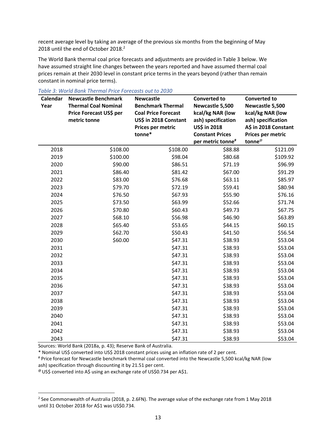recent average level by taking an average of the previous six months from the beginning of May 2018 until the end of October 2018.<sup>2</sup>

The World Bank thermal coal price forecasts and adjustments are provided in Table 3 below. We have assumed straight line changes between the years reported and have assumed thermal coal prices remain at their 2030 level in constant price terms in the years beyond (rather than remain constant in nominal price terms).

| Calendar<br>Year | <b>Newcastle Benchmark</b><br><b>Thermal Coal Nominal</b><br>Price Forecast US\$ per<br>metric tonne | <b>Newcastle</b><br><b>Benchmark Thermal</b><br><b>Coal Price Forecast</b><br>US\$ in 2018 Constant<br>Prices per metric<br>tonne* | <b>Converted to</b><br>Newcastle 5,500<br>kcal/kg NAR (low<br>ash) specification<br>US\$ in 2018<br><b>Constant Prices</b><br>per metric tonne <sup>#</sup> | <b>Converted to</b><br>Newcastle 5,500<br>kcal/kg NAR (low<br>ash) specification<br>A\$ in 2018 Constant<br>Prices per metric<br>tonne <sup>@</sup> |
|------------------|------------------------------------------------------------------------------------------------------|------------------------------------------------------------------------------------------------------------------------------------|-------------------------------------------------------------------------------------------------------------------------------------------------------------|-----------------------------------------------------------------------------------------------------------------------------------------------------|
| 2018             | \$108.00                                                                                             | \$108.00                                                                                                                           | \$88.88                                                                                                                                                     | \$121.09                                                                                                                                            |
| 2019             | \$100.00                                                                                             | \$98.04                                                                                                                            | \$80.68                                                                                                                                                     | \$109.92                                                                                                                                            |
| 2020             | \$90.00                                                                                              | \$86.51                                                                                                                            | \$71.19                                                                                                                                                     | \$96.99                                                                                                                                             |
| 2021             | \$86.40                                                                                              | \$81.42                                                                                                                            | \$67.00                                                                                                                                                     | \$91.29                                                                                                                                             |
| 2022             | \$83.00                                                                                              | \$76.68                                                                                                                            | \$63.11                                                                                                                                                     | \$85.97                                                                                                                                             |
| 2023             | \$79.70                                                                                              | \$72.19                                                                                                                            | \$59.41                                                                                                                                                     | \$80.94                                                                                                                                             |
| 2024             | \$76.50                                                                                              | \$67.93                                                                                                                            | \$55.90                                                                                                                                                     | \$76.16                                                                                                                                             |
| 2025             | \$73.50                                                                                              | \$63.99                                                                                                                            | \$52.66                                                                                                                                                     | \$71.74                                                                                                                                             |
| 2026             | \$70.80                                                                                              | \$60.43                                                                                                                            | \$49.73                                                                                                                                                     | \$67.75                                                                                                                                             |
| 2027             | \$68.10                                                                                              | \$56.98                                                                                                                            | \$46.90                                                                                                                                                     | \$63.89                                                                                                                                             |
| 2028             | \$65.40                                                                                              | \$53.65                                                                                                                            | \$44.15                                                                                                                                                     | \$60.15                                                                                                                                             |
| 2029             | \$62.70                                                                                              | \$50.43                                                                                                                            | \$41.50                                                                                                                                                     | \$56.54                                                                                                                                             |
| 2030             | \$60.00                                                                                              | \$47.31                                                                                                                            | \$38.93                                                                                                                                                     | \$53.04                                                                                                                                             |
| 2031             |                                                                                                      | \$47.31                                                                                                                            | \$38.93                                                                                                                                                     | \$53.04                                                                                                                                             |
| 2032             |                                                                                                      | \$47.31                                                                                                                            | \$38.93                                                                                                                                                     | \$53.04                                                                                                                                             |
| 2033             |                                                                                                      | \$47.31                                                                                                                            | \$38.93                                                                                                                                                     | \$53.04                                                                                                                                             |
| 2034             |                                                                                                      | \$47.31                                                                                                                            | \$38.93                                                                                                                                                     | \$53.04                                                                                                                                             |
| 2035             |                                                                                                      | \$47.31                                                                                                                            | \$38.93                                                                                                                                                     | \$53.04                                                                                                                                             |
| 2036             |                                                                                                      | \$47.31                                                                                                                            | \$38.93                                                                                                                                                     | \$53.04                                                                                                                                             |
| 2037             |                                                                                                      | \$47.31                                                                                                                            | \$38.93                                                                                                                                                     | \$53.04                                                                                                                                             |
| 2038             |                                                                                                      | \$47.31                                                                                                                            | \$38.93                                                                                                                                                     | \$53.04                                                                                                                                             |
| 2039             |                                                                                                      | \$47.31                                                                                                                            | \$38.93                                                                                                                                                     | \$53.04                                                                                                                                             |
| 2040             |                                                                                                      | \$47.31                                                                                                                            | \$38.93                                                                                                                                                     | \$53.04                                                                                                                                             |
| 2041             |                                                                                                      | \$47.31                                                                                                                            | \$38.93                                                                                                                                                     | \$53.04                                                                                                                                             |
| 2042             |                                                                                                      | \$47.31                                                                                                                            | \$38.93                                                                                                                                                     | \$53.04                                                                                                                                             |
| 2043             |                                                                                                      | \$47.31                                                                                                                            | \$38.93                                                                                                                                                     | \$53.04                                                                                                                                             |

<span id="page-16-0"></span>*Table 3: World Bank Thermal Price Forecasts out to 2030*

Sources: World Bank (2018a, p. 43); Reserve Bank of Australia.

1

\* Nominal US\$ converted into US\$ 2018 constant prices using an inflation rate of 2 per cent.

# Price forecast for Newcastle benchmark thermal coal converted into the Newcastle 5,500 kcal/kg NAR (low ash) specification through discounting it by 21.51 per cent.

@ US\$ converted into A\$ using an exchange rate of US\$0.734 per A\$1.

<sup>&</sup>lt;sup>2</sup> See Commonwealth of Australia (2018, p. 2.6FN). The average value of the exchange rate from 1 May 2018 until 31 October 2018 for A\$1 was US\$0.734.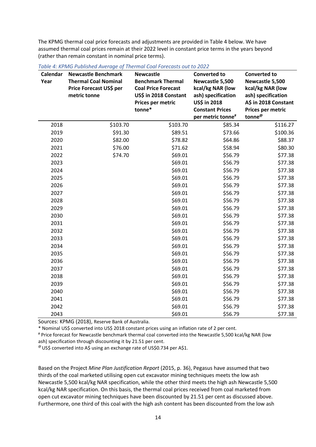The KPMG thermal coal price forecasts and adjustments are provided in Table 4 below. We have assumed thermal coal prices remain at their 2022 level in constant price terms in the years beyond (rather than remain constant in nominal price terms).

| Calendar<br>Year | <b>Newcastle Benchmark</b><br><b>Thermal Coal Nominal</b><br>Price Forecast US\$ per<br>metric tonne | <b>Newcastle</b><br><b>Benchmark Thermal</b><br><b>Coal Price Forecast</b><br>US\$ in 2018 Constant | <b>Converted to</b><br>Newcastle 5,500<br>kcal/kg NAR (low<br>ash) specification | <b>Converted to</b><br>Newcastle 5,500<br>kcal/kg NAR (low<br>ash) specification |
|------------------|------------------------------------------------------------------------------------------------------|-----------------------------------------------------------------------------------------------------|----------------------------------------------------------------------------------|----------------------------------------------------------------------------------|
|                  |                                                                                                      | Prices per metric                                                                                   | US\$ in 2018                                                                     | A\$ in 2018 Constant                                                             |
|                  |                                                                                                      | tonne*                                                                                              | <b>Constant Prices</b>                                                           | Prices per metric                                                                |
|                  |                                                                                                      |                                                                                                     | per metric tonne <sup>#</sup>                                                    | tonne <sup>@</sup>                                                               |
| 2018             | \$103.70                                                                                             | \$103.70                                                                                            | \$85.34                                                                          | \$116.27                                                                         |
| 2019             | \$91.30                                                                                              | \$89.51                                                                                             | \$73.66                                                                          | \$100.36                                                                         |
| 2020             | \$82.00                                                                                              | \$78.82                                                                                             | \$64.86                                                                          | \$88.37                                                                          |
| 2021             | \$76.00                                                                                              | \$71.62                                                                                             | \$58.94                                                                          | \$80.30                                                                          |
| 2022             | \$74.70                                                                                              | \$69.01                                                                                             | \$56.79                                                                          | \$77.38                                                                          |
| 2023             |                                                                                                      | \$69.01                                                                                             | \$56.79                                                                          | \$77.38                                                                          |
| 2024             |                                                                                                      | \$69.01                                                                                             | \$56.79                                                                          | \$77.38                                                                          |
| 2025             |                                                                                                      | \$69.01                                                                                             | \$56.79                                                                          | \$77.38                                                                          |
| 2026             |                                                                                                      | \$69.01                                                                                             | \$56.79                                                                          | \$77.38                                                                          |
| 2027             |                                                                                                      | \$69.01                                                                                             | \$56.79                                                                          | \$77.38                                                                          |
| 2028             |                                                                                                      | \$69.01                                                                                             | \$56.79                                                                          | \$77.38                                                                          |
| 2029             |                                                                                                      | \$69.01                                                                                             | \$56.79                                                                          | \$77.38                                                                          |
| 2030             |                                                                                                      | \$69.01                                                                                             | \$56.79                                                                          | \$77.38                                                                          |
| 2031             |                                                                                                      | \$69.01                                                                                             | \$56.79                                                                          | \$77.38                                                                          |
| 2032             |                                                                                                      | \$69.01                                                                                             | \$56.79                                                                          | \$77.38                                                                          |
| 2033             |                                                                                                      | \$69.01                                                                                             | \$56.79                                                                          | \$77.38                                                                          |
| 2034             |                                                                                                      | \$69.01                                                                                             | \$56.79                                                                          | \$77.38                                                                          |
| 2035             |                                                                                                      | \$69.01                                                                                             | \$56.79                                                                          | \$77.38                                                                          |
| 2036             |                                                                                                      | \$69.01                                                                                             | \$56.79                                                                          | \$77.38                                                                          |
| 2037             |                                                                                                      | \$69.01                                                                                             | \$56.79                                                                          | \$77.38                                                                          |
| 2038             |                                                                                                      | \$69.01                                                                                             | \$56.79                                                                          | \$77.38                                                                          |
| 2039             |                                                                                                      | \$69.01                                                                                             | \$56.79                                                                          | \$77.38                                                                          |
| 2040             |                                                                                                      | \$69.01                                                                                             | \$56.79                                                                          | \$77.38                                                                          |
| 2041             |                                                                                                      | \$69.01                                                                                             | \$56.79                                                                          | \$77.38                                                                          |
| 2042             |                                                                                                      | \$69.01                                                                                             | \$56.79                                                                          | \$77.38                                                                          |
| 2043             |                                                                                                      | \$69.01                                                                                             | \$56.79                                                                          | \$77.38                                                                          |

<span id="page-17-0"></span>*Table 4: KPMG Published Average of Thermal Coal Forecasts out to 2022*

Sources: KPMG (2018), Reserve Bank of Australia.

\* Nominal US\$ converted into US\$ 2018 constant prices using an inflation rate of 2 per cent.

# Price forecast for Newcastle benchmark thermal coal converted into the Newcastle 5,500 kcal/kg NAR (low ash) specification through discounting it by 21.51 per cent.

@ US\$ converted into A\$ using an exchange rate of US\$0.734 per A\$1.

Based on the Project *Mine Plan Justification Report* (2015, p. 36), Pegasus have assumed that two thirds of the coal marketed utilising open cut excavator mining techniques meets the low ash Newcastle 5,500 kcal/kg NAR specification, while the other third meets the high ash Newcastle 5,500 kcal/kg NAR specification. On this basis, the thermal coal prices received from coal marketed from open cut excavator mining techniques have been discounted by 21.51 per cent as discussed above. Furthermore, one third of this coal with the high ash content has been discounted from the low ash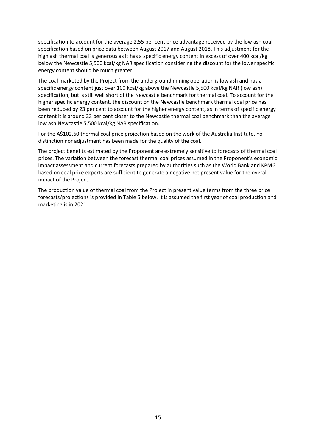specification to account for the average 2.55 per cent price advantage received by the low ash coal specification based on price data between August 2017 and August 2018. This adjustment for the high ash thermal coal is generous as it has a specific energy content in excess of over 400 kcal/kg below the Newcastle 5,500 kcal/kg NAR specification considering the discount for the lower specific energy content should be much greater.

The coal marketed by the Project from the underground mining operation is low ash and has a specific energy content just over 100 kcal/kg above the Newcastle 5,500 kcal/kg NAR (low ash) specification, but is still well short of the Newcastle benchmark for thermal coal. To account for the higher specific energy content, the discount on the Newcastle benchmark thermal coal price has been reduced by 23 per cent to account for the higher energy content, as in terms of specific energy content it is around 23 per cent closer to the Newcastle thermal coal benchmark than the average low ash Newcastle 5,500 kcal/kg NAR specification.

For the A\$102.60 thermal coal price projection based on the work of the Australia Institute, no distinction nor adjustment has been made for the quality of the coal.

The project benefits estimated by the Proponent are extremely sensitive to forecasts of thermal coal prices. The variation between the forecast thermal coal prices assumed in the Proponent's economic impact assessment and current forecasts prepared by authorities such as the World Bank and KPMG based on coal price experts are sufficient to generate a negative net present value for the overall impact of the Project.

The production value of thermal coal from the Project in present value terms from the three price forecasts/projections is provided in Table 5 below. It is assumed the first year of coal production and marketing is in 2021.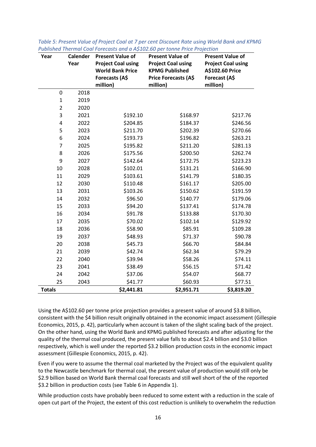| Year           | <b>Calender</b> | <b>Present Value of</b>                                                | <b>Present Value of</b>                                                    | <b>Present Value of</b>                                       |
|----------------|-----------------|------------------------------------------------------------------------|----------------------------------------------------------------------------|---------------------------------------------------------------|
|                | Year            | <b>Project Coal using</b><br><b>World Bank Price</b><br>Forecasts (A\$ | <b>Project Coal using</b><br><b>KPMG Published</b><br>Price Forecasts (A\$ | <b>Project Coal using</b><br>A\$102.60 Price<br>Forecast (A\$ |
|                |                 | million)                                                               | million)                                                                   | million)                                                      |
| 0              | 2018            |                                                                        |                                                                            |                                                               |
| $\mathbf 1$    | 2019            |                                                                        |                                                                            |                                                               |
| $\overline{2}$ | 2020            |                                                                        |                                                                            |                                                               |
| 3              | 2021            | \$192.10                                                               | \$168.97                                                                   | \$217.76                                                      |
| $\pmb{4}$      | 2022            | \$204.85                                                               | \$184.37                                                                   | \$246.56                                                      |
| 5              | 2023            | \$211.70                                                               | \$202.39                                                                   | \$270.66                                                      |
| 6              | 2024            | \$193.73                                                               | \$196.82                                                                   | \$263.21                                                      |
| $\overline{7}$ | 2025            | \$195.82                                                               | \$211.20                                                                   | \$281.13                                                      |
| 8              | 2026            | \$175.56                                                               | \$200.50                                                                   | \$262.74                                                      |
| 9              | 2027            | \$142.64                                                               | \$172.75                                                                   | \$223.23                                                      |
| 10             | 2028            | \$102.01                                                               | \$131.21                                                                   | \$166.90                                                      |
| 11             | 2029            | \$103.61                                                               | \$141.79                                                                   | \$180.35                                                      |
| 12             | 2030            | \$110.48                                                               | \$161.17                                                                   | \$205.00                                                      |
| 13             | 2031            | \$103.26                                                               | \$150.62                                                                   | \$191.59                                                      |
| 14             | 2032            | \$96.50                                                                | \$140.77                                                                   | \$179.06                                                      |
| 15             | 2033            | \$94.20                                                                | \$137.41                                                                   | \$174.78                                                      |
| 16             | 2034            | \$91.78                                                                | \$133.88                                                                   | \$170.30                                                      |
| 17             | 2035            | \$70.02                                                                | \$102.14                                                                   | \$129.92                                                      |
| 18             | 2036            | \$58.90                                                                | \$85.91                                                                    | \$109.28                                                      |
| 19             | 2037            | \$48.93                                                                | \$71.37                                                                    | \$90.78                                                       |
| 20             | 2038            | \$45.73                                                                | \$66.70                                                                    | \$84.84                                                       |
| 21             | 2039            | \$42.74                                                                | \$62.34                                                                    | \$79.29                                                       |
| 22             | 2040            | \$39.94                                                                | \$58.26                                                                    | \$74.11                                                       |
| 23             | 2041            | \$38.49                                                                | \$56.15                                                                    | \$71.42                                                       |
| 24             | 2042            | \$37.06                                                                | \$54.07                                                                    | \$68.77                                                       |
| 25             | 2043            | \$41.77                                                                | \$60.93                                                                    | \$77.51                                                       |
| <b>Totals</b>  |                 | \$2,441.81                                                             | \$2,951.71                                                                 | \$3,819.20                                                    |

<span id="page-19-0"></span>

| Table 5: Present Value of Project Coal at 7 per cent Discount Rate using World Bank and KPMG |  |
|----------------------------------------------------------------------------------------------|--|
| Published Thermal Coal Forecasts and a A\$102.60 per tonne Price Projection                  |  |

Using the A\$102.60 per tonne price projection provides a present value of around \$3.8 billion, consistent with the \$4 billion result originally obtained in the economic impact assessment (Gillespie Economics, 2015, p. 42), particularly when account is taken of the slight scaling back of the project. On the other hand, using the World Bank and KPMG published forecasts and after adjusting for the quality of the thermal coal produced, the present value falls to about \$2.4 billion and \$3.0 billion respectively, which is well under the reported \$3.2 billion production costs in the economic impact assessment (Gillespie Economics, 2015, p. 42).

Even if you were to assume the thermal coal marketed by the Project was of the equivalent quality to the Newcastle benchmark for thermal coal, the present value of production would still only be \$2.9 billion based on World Bank thermal coal forecasts and still well short of the of the reported \$3.2 billion in production costs (see Table 6 in Appendix 1).

While production costs have probably been reduced to some extent with a reduction in the scale of open cut part of the Project, the extent of this cost reduction is unlikely to overwhelm the reduction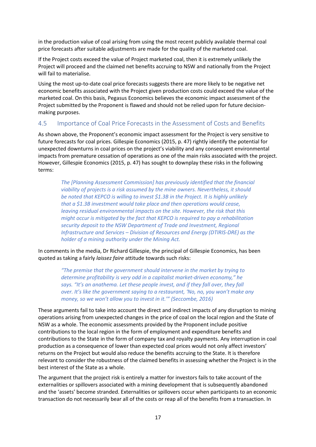in the production value of coal arising from using the most recent publicly available thermal coal price forecasts after suitable adjustments are made for the quality of the marketed coal.

If the Project costs exceed the value of Project marketed coal, then it is extremely unlikely the Project will proceed and the claimed net benefits accruing to NSW and nationally from the Project will fail to materialise.

Using the most up-to-date coal price forecasts suggests there are more likely to be negative net economic benefits associated with the Project given production costs could exceed the value of the marketed coal. On this basis, Pegasus Economics believes the economic impact assessment of the Project submitted by the Proponent is flawed and should not be relied upon for future decisionmaking purposes.

#### <span id="page-20-0"></span>4.5 Importance of Coal Price Forecasts in the Assessment of Costs and Benefits

As shown above, the Proponent's economic impact assessment for the Project is very sensitive to future forecasts for coal prices. Gillespie Economics (2015, p. 47) rightly identify the potential for unexpected downturns in coal prices on the project's viability and any consequent environmental impacts from premature cessation of operations as one of the main risks associated with the project. However, Gillespie Economics (2015, p. 47) has sought to downplay these risks in the following terms:

*The [Planning Assessment Commission] has previously identified that the financial viability of projects is a risk assumed by the mine owners. Nevertheless, it should be noted that KEPCO is willing to invest \$1.3B in the Project. It is highly unlikely that a \$1.3B investment would take place and then operations would cease, leaving residual environmental impacts on the site. However, the risk that this might occur is mitigated by the fact that KEPCO is required to pay a rehabilitation security deposit to the NSW Department of Trade and Investment, Regional Infrastructure and Services – Division of Resources and Energy (DTIRIS-DRE) as the holder of a mining authority under the Mining Act.* 

In comments in the media, Dr Richard Gillespie, the principal of Gillespie Economics, has been quoted as taking a fairly *laissez faire* attitude towards such risks:

> *"The premise that the government should intervene in the market by trying to determine profitability is very odd in a capitalist market-driven economy," he* says. "It's an anathema. Let these people invest, and if they fall over, they fall *over. It's like the government saying to a restaurant, 'No, no, you won't make any money, so we won't allow you to invest in it.'" (Seccombe, 2016)*

These arguments fail to take into account the direct and indirect impacts of any disruption to mining operations arising from unexpected changes in the price of coal on the local region and the State of NSW as a whole. The economic assessments provided by the Proponent include positive contributions to the local region in the form of employment and expenditure benefits and contributions to the State in the form of company tax and royalty payments. Any interruption in coal production as a consequence of lower than expected coal prices would not only affect investors' returns on the Project but would also reduce the benefits accruing to the State. It is therefore relevant to consider the robustness of the claimed benefits in assessing whether the Project is in the best interest of the State as a whole.

The argument that the project risk is entirely a matter for investors fails to take account of the externalities or spillovers associated with a mining development that is subsequently abandoned and the 'assets' become stranded. Externalities or spillovers occur when participants to an economic transaction do not necessarily bear all of the costs or reap all of the benefits from a transaction. In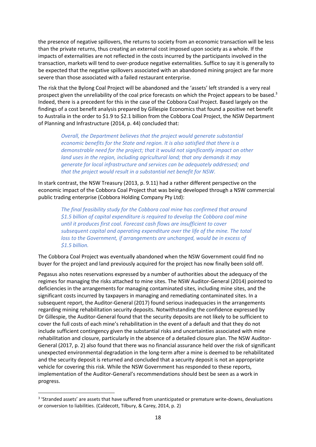the presence of negative spillovers, the returns to society from an economic transaction will be less than the private returns, thus creating an external cost imposed upon society as a whole. If the impacts of externalities are not reflected in the costs incurred by the participants involved in the transaction, markets will tend to over-produce negative externalities. Suffice to say it is generally to be expected that the negative spillovers associated with an abandoned mining project are far more severe than those associated with a failed restaurant enterprise.

The risk that the Bylong Coal Project will be abandoned and the 'assets' left stranded is a very real prospect given the unreliability of the coal price forecasts on which the Project appears to be based.<sup>3</sup> Indeed, there is a precedent for this in the case of the Cobbora Coal Project. Based largely on the findings of a cost benefit analysis prepared by Gillespie Economics that found a positive net benefit to Australia in the order to \$1.9 to \$2.1 billion from the Cobbora Coal Project, the NSW Department of Planning and Infrastructure (2014, p. 44) concluded that:

*Overall, the Department believes that the project would generate substantial economic benefits for the State and region. It is also satisfied that there is a demonstrable need for the project; that it would not significantly impact on other land uses in the region, including agricultural land; that any demands it may generate for local infrastructure and services can be adequately addressed; and that the project would result in a substantial net benefit for NSW.*

In stark contrast, the NSW Treasury (2013, p. 9.11) had a rather different perspective on the economic impact of the Cobbora Coal Project that was being developed through a NSW commercial public trading enterprise (Cobbora Holding Company Pty Ltd):

*The final feasibility study for the Cobbora coal mine has confirmed that around \$1.5 billion of capital expenditure is required to develop the Cobbora coal mine until it produces first coal. Forecast cash flows are insufficient to cover subsequent capital and operating expenditure over the life of the mine. The total loss to the Government, if arrangements are unchanged, would be in excess of \$1.5 billion.* 

The Cobbora Coal Project was eventually abandoned when the NSW Government could find no buyer for the project and land previously acquired for the project has now finally been sold off.

Pegasus also notes reservations expressed by a number of authorities about the adequacy of the regimes for managing the risks attached to mine sites. The NSW Auditor-General (2014) pointed to deficiencies in the arrangements for managing contaminated sites, including mine sites, and the significant costs incurred by taxpayers in managing and remediating contaminated sites. In a subsequent report, the Auditor-General (2017) found serious inadequacies in the arrangements regarding mining rehabilitation security deposits. Notwithstanding the confidence expressed by Dr Gillespie, the Auditor-General found that the security deposits are not likely to be sufficient to cover the full costs of each mine's rehabilitation in the event of a default and that they do not include sufficient contingency given the substantial risks and uncertainties associated with mine rehabilitation and closure, particularly in the absence of a detailed closure plan. The NSW Auditor-General (2017, p. 2) also found that there was no financial assurance held over the risk of significant unexpected environmental degradation in the long-term after a mine is deemed to be rehabilitated and the security deposit is returned and concluded that a security deposit is not an appropriate vehicle for covering this risk. While the NSW Government has responded to these reports, implementation of the Auditor-General's recommendations should best be seen as a work in progress.

1

<sup>&</sup>lt;sup>3</sup> 'Stranded assets' are assets that have suffered from unanticipated or premature write-downs, devaluations or conversion to liabilities. (Caldecott, Tilbury, & Carey, 2014, p. 2)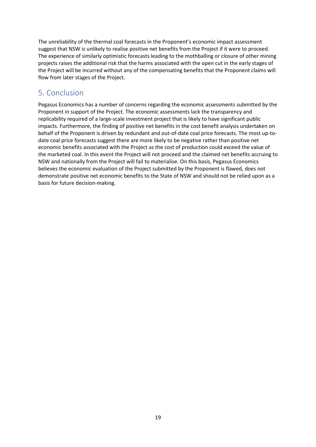The unreliability of the thermal coal forecasts in the Proponent's economic impact assessment suggest that NSW is unlikely to realise positive net benefits from the Project if it were to proceed. The experience of similarly optimistic forecasts leading to the mothballing or closure of other mining projects raises the additional risk that the harms associated with the open cut in the early stages of the Project will be incurred without any of the compensating benefits that the Proponent claims will flow from later stages of the Project.

# <span id="page-22-0"></span>5. Conclusion

Pegasus Economics has a number of concerns regarding the economic assessments submitted by the Proponent in support of the Project. The economic assessments lack the transparency and replicability required of a large-scale investment project that is likely to have significant public impacts. Furthermore, the finding of positive net benefits in the cost benefit analysis undertaken on behalf of the Proponent is driven by redundant and out-of-date coal price forecasts. The most up-todate coal price forecasts suggest there are more likely to be negative rather than positive net economic benefits associated with the Project as the cost of production could exceed the value of the marketed coal. In this event the Project will not proceed and the claimed net benefits accruing to NSW and nationally from the Project will fail to materialise. On this basis, Pegasus Economics believes the economic evaluation of the Project submitted by the Proponent is flawed, does not demonstrate positive net economic benefits to the State of NSW and should not be relied upon as a basis for future decision-making.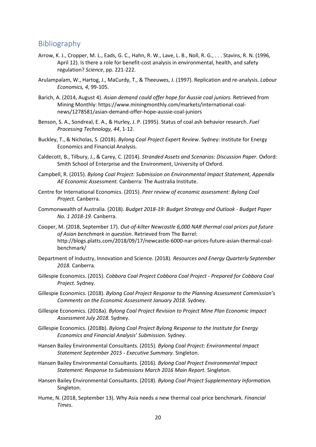#### <span id="page-23-0"></span>**Bibliography**

- Arrow, K. J., Cropper, M. L., Eads, G. C., Hahn, R. W., Lave, L. B., Noll, R. G., . . . Stavins, R. N. (1996, April 12). Is there a role for benefit-cost analysis in environmental, health, and safety regulation? *Science*, pp. 221-222.
- Arulampalam, W., Hartog, J., MaCurdy, T., & Theeuwes, J. (1997). Replication and re-analysis. *Labour Economics, 4*, 99-105.
- Barich, A. (2014, August 4). *Asian demand could offer hope for Aussie coal juniors.* Retrieved from Mining Monthly: https://www.miningmonthly.com/markets/international-coalnews/1278581/asian-demand-offer-hope-aussie-coal-juniors
- Benson, S. A., Sondreal, E. A., & Hurley, J. P. (1995). Status of coal ash behavior research. *Fuel Processing Technology, 44*, 1-12.
- Buckley, T., & Nicholas, S. (2018). *Bylong Coal Project Expert Review.* Sydney: Institute for Energy Economics and Financial Analysis.
- Caldecott, B., Tilbury, J., & Carey, C. (2014). *Stranded Assets and Scenarios: Discussion Paper.* Oxford: Smith School of Enterprise and the Environment, University of Oxford.
- Campbell, R. (2015). *Bylong Coal Project: Submission on Environmental Impact Statement, Appendix AE Economic Assessment.* Canberra: The Australia Institute.
- Centre for International Economics. (2015). *Peer review of economic assessment: Bylong Coal Project.* Canberra.
- Commonwealth of Australia. (2018). *Budget 2018-19: Budget Strategy and Outlook - Budget Paper No. 1 2018-19.* Canberra.
- Cooper, M. (2018, September 17). *Out-of-kilter Newcastle 6,000 NAR thermal coal prices put future of Asian benchmark in question*. Retrieved from The Barrel: http://blogs.platts.com/2018/09/17/newcastle-6000-nar-prices-future-asian-thermal-coalbenchmark/
- Department of Industry, Innovation and Science. (2018). *Resources and Energy Quarterly September 2018.* Canberra.
- Gillespie Economics. (2015). *Cobbora Coal Project Cobbora Coal Project - Prepared for Cobbora Coal Project.* Sydney.
- Gillespie Economics. (2018). *Bylong Coal Project Response to the Planning Assessment Commission's Comments on the Economic Assessment January 2018.* Sydney.
- Gillespie Economics. (2018a). *Bylong Coal Project Revision to Project Mine Plan Economic Impact Assessment July 2018.* Sydney.
- Gillespie Economics. (2018b). *Bylong Coal Project Bylong Response to the Institute for Energy Economics and Financial Analysis' Submission.* Sydney.
- Hansen Bailey Environmental Consultants. (2015). *Bylong Coal Project: Environmental Impact Statement September 2015 - Executive Summary.* Singleton.
- Hansen Bailey Environmental Consultants. (2016). *Bylong Coal Project Environmental Impact Statement: Response to Submissions March 2016 Main Report.* Singleton.
- Hansen Bailey Environmental Consultants. (2018). *Bylong Coal Project Supplementary Information.* Singleton.
- Hume, N. (2018, September 13). Why Asia needs a new thermal coal price benchmark. *Financial Times*.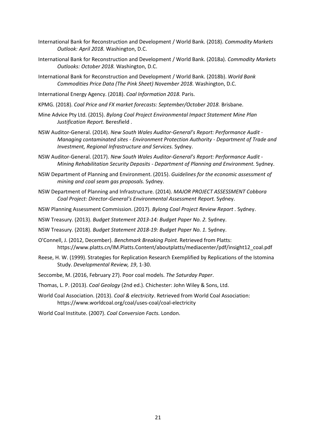- International Bank for Reconstruction and Development / World Bank. (2018). *Commodity Markets Outlook: April 2018.* Washington, D.C.
- International Bank for Reconstruction and Development / World Bank. (2018a). *Commodity Markets Outlooks: October 2018.* Washington, D.C.
- International Bank for Reconstruction and Development / World Bank. (2018b). *World Bank Commodities Price Data (The Pink Sheet) November 2018.* Washington, D.C.
- International Energy Agency. (2018). *Coal Information 2018.* Paris.
- KPMG. (2018). *Coal Price and FX market forecasts: September/October 2018.* Brisbane.
- Mine Advice Pty Ltd. (2015). *Bylong Coal Project Environmental Impact Statement Mine Plan Justification Report.* Beresfield .
- NSW Auditor-General. (2014). *New South Wales Auditor-General's Report: Performance Audit - Managing contaminated sites - Environment Protection Authority - Department of Trade and Investment, Regional Infrastructure and Services.* Sydney.
- NSW Auditor-General. (2017). *New South Wales Auditor-General's Report: Performance Audit - Mining Rehabilitation Security Deposits - Department of Planning and Environment.* Sydney.
- NSW Department of Planning and Environment. (2015). *Guidelines for the economic assessment of mining and coal seam gas proposals.* Sydney.
- NSW Department of Planning and Infrastructure. (2014). *MAJOR PROJECT ASSESSMENT Cobbora Coal Project: Director-General's Environmental Assessment Report.* Sydney.
- NSW Planning Assessment Commission. (2017). *Bylong Coal Project Review Report .* Sydney.
- NSW Treasury. (2013). *Budget Statement 2013-14: Budget Paper No. 2.* Sydney.
- NSW Treasury. (2018). *Budget Statement 2018-19: Budget Paper No. 1.* Sydney.
- O'Connell, J. (2012, December). *Benchmark Breaking Point.* Retrieved from Platts: https://www.platts.cn/IM.Platts.Content/aboutplatts/mediacenter/pdf/insight12\_coal.pdf
- Reese, H. W. (1999). Strategies for Replication Research Exemplified by Replications of the Istomina Study. *Developmental Review, 19*, 1-30.
- Seccombe, M. (2016, February 27). Poor coal models. *The Saturday Paper*.
- Thomas, L. P. (2013). *Coal Geology* (2nd ed.). Chichester: John Wiley & Sons, Ltd.
- World Coal Association. (2013). *Coal & electricity*. Retrieved from World Coal Association: https://www.worldcoal.org/coal/uses-coal/coal-electricity
- World Coal Institute. (2007). *Coal Conversion Facts.* London.